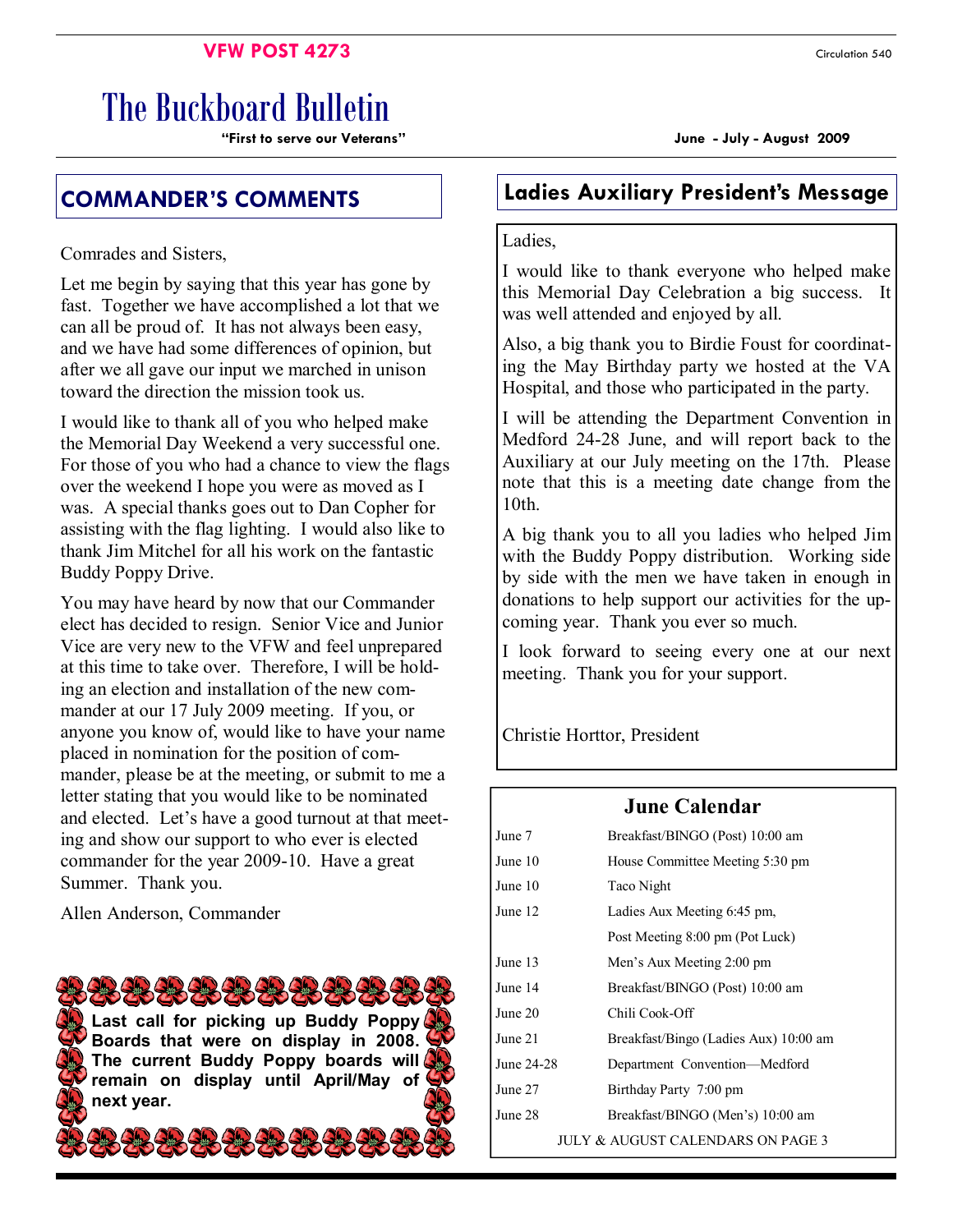#### **VFW POST 4273** Circulation 540

# The Buckboard Bulletin

**"First to serve our Veterans" June - July - August 2009** 

Comrades and Sisters,

Let me begin by saying that this year has gone by fast. Together we have accomplished a lot that we can all be proud of. It has not always been easy, and we have had some differences of opinion, but after we all gave our input we marched in unison toward the direction the mission took us.

I would like to thank all of you who helped make the Memorial Day Weekend a very successful one. For those of you who had a chance to view the flags over the weekend I hope you were as moved as I was. A special thanks goes out to Dan Copher for assisting with the flag lighting. I would also like to thank Jim Mitchel for all his work on the fantastic Buddy Poppy Drive.

You may have heard by now that our Commander elect has decided to resign. Senior Vice and Junior Vice are very new to the VFW and feel unprepared at this time to take over. Therefore, I will be holding an election and installation of the new commander at our 17 July 2009 meeting. If you, or anyone you know of, would like to have your name placed in nomination for the position of commander, please be at the meeting, or submit to me a letter stating that you would like to be nominated and elected. Let's have a good turnout at that meeting and show our support to who ever is elected commander for the year 2009-10. Have a great Summer. Thank you.

Allen Anderson, Commander



## **COMMANDER'S COMMENTS Ladies Auxiliary President's Message**

#### Ladies,

I would like to thank everyone who helped make this Memorial Day Celebration a big success. It was well attended and enjoyed by all.

Also, a big thank you to Birdie Foust for coordinating the May Birthday party we hosted at the VA Hospital, and those who participated in the party.

I will be attending the Department Convention in Medford 24-28 June, and will report back to the Auxiliary at our July meeting on the 17th. Please note that this is a meeting date change from the 10th.

A big thank you to all you ladies who helped Jim with the Buddy Poppy distribution. Working side by side with the men we have taken in enough in donations to help support our activities for the upcoming year. Thank you ever so much.

I look forward to seeing every one at our next meeting. Thank you for your support.

Christie Horttor, President

## **June Calendar**

| June 7                            | Breakfast/BINGO (Post) 10:00 am       |  |
|-----------------------------------|---------------------------------------|--|
| June 10                           | House Committee Meeting 5:30 pm       |  |
| June 10                           | Taco Night                            |  |
| June 12                           | Ladies Aux Meeting 6:45 pm,           |  |
|                                   | Post Meeting 8:00 pm (Pot Luck)       |  |
| June 13                           | Men's Aux Meeting 2:00 pm             |  |
| June 14                           | Breakfast/BINGO (Post) 10:00 am       |  |
| June 20                           | Chili Cook-Off                        |  |
| June 21                           | Breakfast/Bingo (Ladies Aux) 10:00 am |  |
| June 24-28                        | Department Convention—Medford         |  |
| June 27                           | Birthday Party 7:00 pm                |  |
| June 28                           | Breakfast/BINGO (Men's) 10:00 am      |  |
| JULY & AUGUST CALENDARS ON PAGE 3 |                                       |  |
|                                   |                                       |  |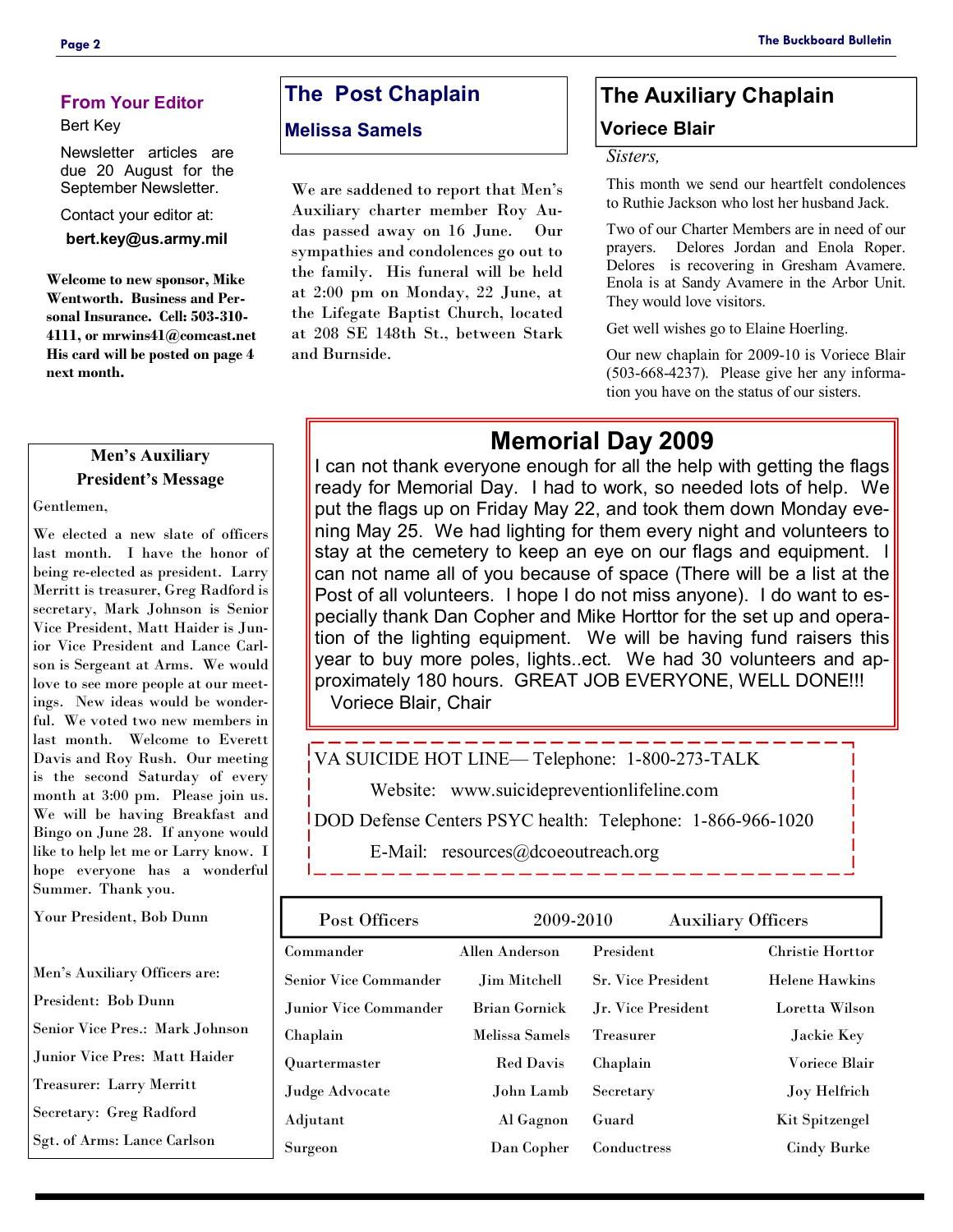#### **From Your Editor**

#### Bert Key

Newsletter articles are due 20 August for the September Newsletter.

Contact your editor at:

**bert.key@us.army.mil** 

**Welcome to new sponsor, Mike Wentworth. Business and Personal Insurance. Cell: 503-310- 4111, or mrwins41@comcast.net His card will be posted on page 4 next month.** 

#### **Men's Auxiliary President's Message**

Gentlemen,

We elected a new slate of officers last month. I have the honor of being re-elected as president. Larry Merritt is treasurer, Greg Radford is secretary, Mark Johnson is Senior Vice President, Matt Haider is Junior Vice President and Lance Carlson is Sergeant at Arms. We would love to see more people at our meetings. New ideas would be wonderful. We voted two new members in last month. Welcome to Everett Davis and Roy Rush. Our meeting is the second Saturday of every month at 3:00 pm. Please join us. We will be having Breakfast and Bingo on June 28. If anyone would like to help let me or Larry know. I hope everyone has a wonderful Summer. Thank you.

Your President, Bob Dunn

Men's Auxiliary Officers are: President: Bob Dunn Senior Vice Pres.: Mark Johnson Junior Vice Pres: Matt Haider Treasurer: Larry Merritt Secretary: Greg Radford Sgt. of Arms: Lance Carlson

## **The Post Chaplain**

#### **Melissa Samels**

We are saddened to report that Men's Auxiliary charter member Roy Audas passed away on 16 June. Our sympathies and condolences go out to the family. His funeral will be held at 2:00 pm on Monday, 22 June, at the Lifegate Baptist Church, located at 208 SE 148th St., between Stark and Burnside.

## **The Auxiliary Chaplain Voriece Blair**

#### *Sisters,*

This month we send our heartfelt condolences to Ruthie Jackson who lost her husband Jack.

Two of our Charter Members are in need of our prayers. Delores Jordan and Enola Roper. Delores is recovering in Gresham Avamere. Enola is at Sandy Avamere in the Arbor Unit. They would love visitors.

Get well wishes go to Elaine Hoerling.

Our new chaplain for 2009-10 is Voriece Blair (503-668-4237). Please give her any information you have on the status of our sisters.

## **Memorial Day 2009**

I can not thank everyone enough for all the help with getting the flags ready for Memorial Day. I had to work, so needed lots of help. We put the flags up on Friday May 22, and took them down Monday evening May 25. We had lighting for them every night and volunteers to stay at the cemetery to keep an eye on our flags and equipment. I can not name all of you because of space (There will be a list at the Post of all volunteers. I hope I do not miss anyone). I do want to especially thank Dan Copher and Mike Horttor for the set up and operation of the lighting equipment. We will be having fund raisers this year to buy more poles, lights..ect. We had 30 volunteers and approximately 180 hours. GREAT JOB EVERYONE, WELL DONE!!! Voriece Blair, Chair

VA SUICIDE HOT LINE— Telephone: 1-800-273-TALK

Website: www.suicidepreventionlifeline.com

DOD Defense Centers PSYC health: Telephone: 1-866-966-1020

E-Mail: resources@dcoeoutreach.org

| Post Officers          | 2009-2010            |                           | <b>Auxiliary Officers</b> |
|------------------------|----------------------|---------------------------|---------------------------|
| Commander              | Allen Anderson       | President                 | <b>Christie Horttor</b>   |
| Senior Vice Commander  | Jim Mitchell         | <b>Sr. Vice President</b> | <b>Helene Hawkins</b>     |
| Junior Vice Commander. | <b>Brian Gornick</b> | Jr. Vice President        | Loretta Wilson            |
| Chaplain               | Melissa Samels       | Treasurer                 | Jackie Key                |
| Quartermaster          | <b>Red Davis</b>     | Chaplain                  | <b>Voriece Blair</b>      |
| Judge Advocate         | John Lamb            | Secretary                 | Joy Helfrich              |
| Adjutant               | Al Gagnon            | Guard                     | Kit Spitzengel            |
| Surgeon                | Dan Copher           | Conductress               | <b>Cindy Burke</b>        |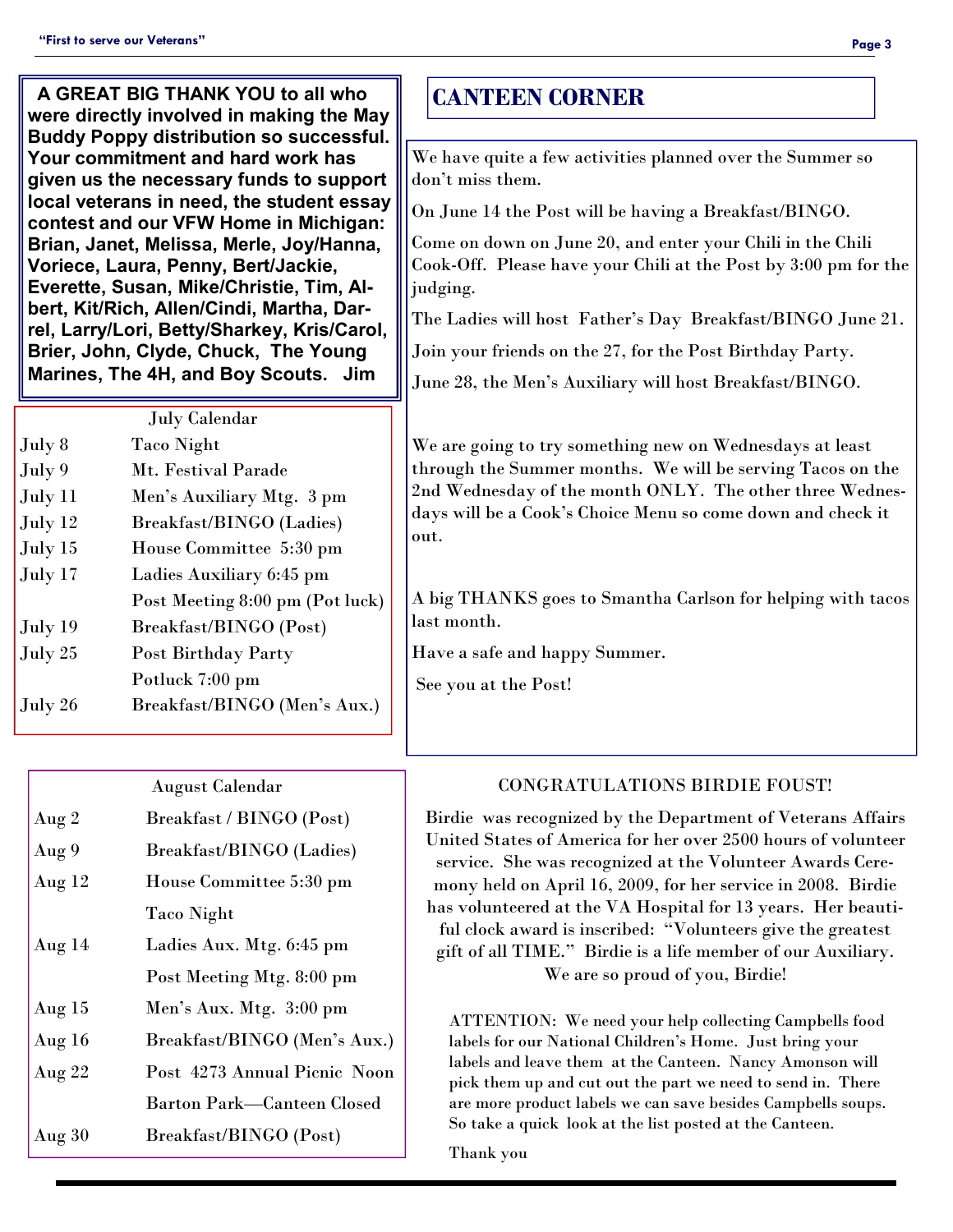| A GREAT BIG THANK YOU to all who<br>were directly involved in making the May<br><b>Buddy Poppy distribution so successful.</b><br>Your commitment and hard work has<br>given us the necessary funds to support<br>local veterans in need, the student essay<br>contest and our VFW Home in Michigan:<br>Brian, Janet, Melissa, Merle, Joy/Hanna,<br>Voriece, Laura, Penny, Bert/Jackie,<br>Everette, Susan, Mike/Christie, Tim, Al-<br>bert, Kit/Rich, Allen/Cindi, Martha, Dar-<br>rel, Larry/Lori, Betty/Sharkey, Kris/Carol,<br>Brier, John, Clyde, Chuck, The Young<br>Marines, The 4H, and Boy Scouts. Jim | <b>CANTEEN CORNER</b><br>We have quite a few activities planned over the Summer so<br>don't miss them.<br>On June 14 the Post will be having a Breakfast/BINGO.<br>Come on down on June 20, and enter your Chili in the Chili<br>Cook-Off. Please have your Chili at the Post by 3:00 pm for the<br>judging.<br>The Ladies will host Father's Day Breakfast/BINGO June 21.<br>Join your friends on the 27, for the Post Birthday Party.<br>June 28, the Men's Auxiliary will host Breakfast/BINGO. |
|-----------------------------------------------------------------------------------------------------------------------------------------------------------------------------------------------------------------------------------------------------------------------------------------------------------------------------------------------------------------------------------------------------------------------------------------------------------------------------------------------------------------------------------------------------------------------------------------------------------------|----------------------------------------------------------------------------------------------------------------------------------------------------------------------------------------------------------------------------------------------------------------------------------------------------------------------------------------------------------------------------------------------------------------------------------------------------------------------------------------------------|
| <b>July Calendar</b><br>July 8<br><b>Taco Night</b><br>Mt. Festival Parade<br>July 9<br>Men's Auxiliary Mtg. 3 pm<br>July 11<br>July 12<br>Breakfast/BINGO (Ladies)<br>July 15<br>House Committee 5:30 pm<br>July 17<br>Ladies Auxiliary 6:45 pm<br>Post Meeting 8:00 pm (Pot luck)<br>Breakfast/BINGO (Post)<br>July 19<br>Post Birthday Party<br>July 25<br>Potluck 7:00 pm<br>July 26<br>Breakfast/BINGO (Men's Aux.)                                                                                                                                                                                        | We are going to try something new on Wednesdays at least<br>through the Summer months. We will be serving Tacos on the<br>2nd Wednesday of the month ONLY. The other three Wednes-<br>days will be a Cook's Choice Menu so come down and check it<br>out.<br>A big THANKS goes to Smantha Carlson for helping with tacos<br>last month.<br>Have a safe and happy Summer.<br>See you at the Post!                                                                                                   |

|          | <b>August Calendar</b>            |
|----------|-----------------------------------|
| Aug $2$  | Breakfast / BINGO (Post)          |
| Aug 9    | Breakfast/BINGO (Ladies)          |
| Aug $12$ | House Committee 5:30 pm           |
|          | <b>Taco Night</b>                 |
| Aug $14$ | Ladies Aux. Mtg. 6:45 pm          |
|          | Post Meeting Mtg. 8:00 pm         |
| Aug $15$ | Men's Aux. Mtg. 3:00 pm           |
| Aug $16$ | Breakfast/BINGO (Men's Aux.)      |
| Aug $22$ | Post 4273 Annual Picnic Noon      |
|          | <b>Barton Park—Canteen Closed</b> |
| Aug $30$ | Breakfast/BINGO (Post)            |

### CONGRATULATIONS BIRDIE FOUST!

Birdie was recognized by the Department of Veterans Affairs United States of America for her over 2500 hours of volunteer service. She was recognized at the Volunteer Awards Ceremony held on April 16, 2009, for her service in 2008. Birdie has volunteered at the VA Hospital for 13 years. Her beautiful clock award is inscribed: "Volunteers give the greatest gift of all TIME." Birdie is a life member of our Auxiliary. We are so proud of you, Birdie!

ATTENTION: We need your help collecting Campbells food labels for our National Children's Home. Just bring your labels and leave them at the Canteen. Nancy Amonson will pick them up and cut out the part we need to send in. There are more product labels we can save besides Campbells soups. So take a quick look at the list posted at the Canteen.

Thank you